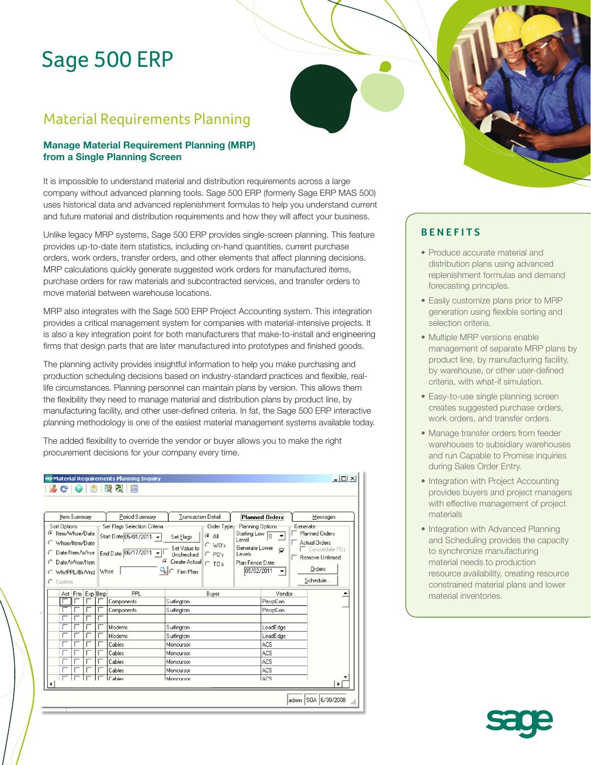# Sage 500 ERP

## Material Requirements Planning

## **Manage Material Requirement Planning (MRP) from a Single Planning Screen**

It is impossible to understand material and distribution requirements across a large company without advanced planning tools. Sage 500 ERP (formerly Sage ERP MAS 500) uses historical data and advanced replenishment formulas to help you understand current and future material and distribution requirements and how they will affect your business.

Unlike legacy MRP systems, Sage 500 ERP provides single-screen planning. This feature provides up-to-date item statistics, including on-hand quantities, current purchase orders, work orders, transfer orders, and other elements that affect planning decisions. MRP calculations quickly generate suggested work orders for manufactured items, purchase orders for raw materials and subcontracted services, and transfer orders to move material between warehouse locations.

MRP also integrates with the Sage 500 ERP Project Accounting system. This integration provides a critical management system for companies with material-intensive projects. It is also a key integration point for both manufacturers that make-to-install and engineering firms that design parts that are later manufactured into prototypes and finished goods.

The planning activity provides insightful information to help you make purchasing and production scheduling decisions based on industry-standard practices and flexible, reallife circumstances. Planning personnel can maintain plans by version. This allows them the flexibility they need to manage material and distribution plans by product line, by manufacturing facility, and other user-defined criteria. In fat, the Sage 500 ERP interactive planning methodology is one of the easiest material management systems available today.

The added flexibility to override the vendor or buyer allows you to make the right procurement decisions for your company every time.

| $  $ $\Box$ $\times$<br><b>se Material Requirements Planning Inquiry</b>             |                                                                                                |                                                                                                                   |                                                                         |                                                          |                                                                                   |
|--------------------------------------------------------------------------------------|------------------------------------------------------------------------------------------------|-------------------------------------------------------------------------------------------------------------------|-------------------------------------------------------------------------|----------------------------------------------------------|-----------------------------------------------------------------------------------|
| 50 P.<br>$C^{\dagger}$ $O$ $\uparrow$ $O$<br>簡                                       |                                                                                                |                                                                                                                   |                                                                         |                                                          |                                                                                   |
| Item Summary<br>Sort Options<br>G Item/Whse/Date<br>Whse/Item/Date<br>Date/Item/Whse | Period Summary<br>Set Flags Selection Criteria<br>Start Date 05/01/2011<br>End Date 06/17/2011 | Transaction Detail<br>Order Type<br>G<br>Αll<br>Set Flags<br>$\cap$ WO's<br>Set Value to<br>$C$ PO's<br>Unchecked | Planning Options<br>Starting Low 0<br>Level<br>Generate Lower<br>Levels | <b>Planned Orders</b><br>Generate<br>▼<br>$\overline{v}$ | Messages<br>Planned Orders<br>Actual Orders<br>Consolidate POs<br>Remove Unfirmed |
| Date/Whse/Item<br>Wh/PPL/Br/Vnd<br>$C$ Custom<br>Act   Frm   Exp   Bmp               | Whse<br>PPL                                                                                    | Create Actual   C TO's<br>۹∣م<br>Firm Plan<br>Buyer                                                               | Plan Fence Date<br>05/02/2011                                           | ▼<br>Vendor                                              | Orders<br>Schedule<br>▲                                                           |
|                                                                                      | Components<br>Components                                                                       | Surfington<br>Surfington                                                                                          |                                                                         | PerspCon<br>PerspCon                                     |                                                                                   |
|                                                                                      | Modems<br>Modems                                                                               | Surfington<br>Surfington                                                                                          |                                                                         | LeadEdge<br>LeadEdge                                     |                                                                                   |
|                                                                                      | Cables<br>Cables                                                                               | Moncursor<br>Moncursor                                                                                            |                                                                         | ACS<br>ACS                                               |                                                                                   |
|                                                                                      | Cables<br>Cables<br>Cables                                                                     | Moncursor<br>Moncursor<br>Moncursor                                                                               |                                                                         | ACS<br>ACS<br><b>LACS</b>                                |                                                                                   |
|                                                                                      |                                                                                                |                                                                                                                   |                                                                         |                                                          | admin SOA 6/30/2008<br>h.                                                         |

## **BENEFITS**

- Produce accurate material and distribution plans using advanced replenishment formulas and demand forecasting principles.
- Easily customize plans prior to MRP generation using flexible sorting and selection criteria.
- Multiple MRP versions enable management of separate MRP plans by product line, by manufacturing facility, by warehouse, or other user-defined criteria, with what-if simulation.
- Easy-to-use single planning screen creates suggested purchase orders, work orders, and transfer orders.
- Manage transfer orders from feeder warehouses to subsidiary warehouses and run Capable to Promise inquiries during Sales Order Entry.
- Integration with Project Accounting provides buyers and project managers with effective management of project materials
- Integration with Advanced Planning and Scheduling provides the capacity to synchronize manufacturing material needs to production resource availability, creating resource constrained material plans and lower material inventories.